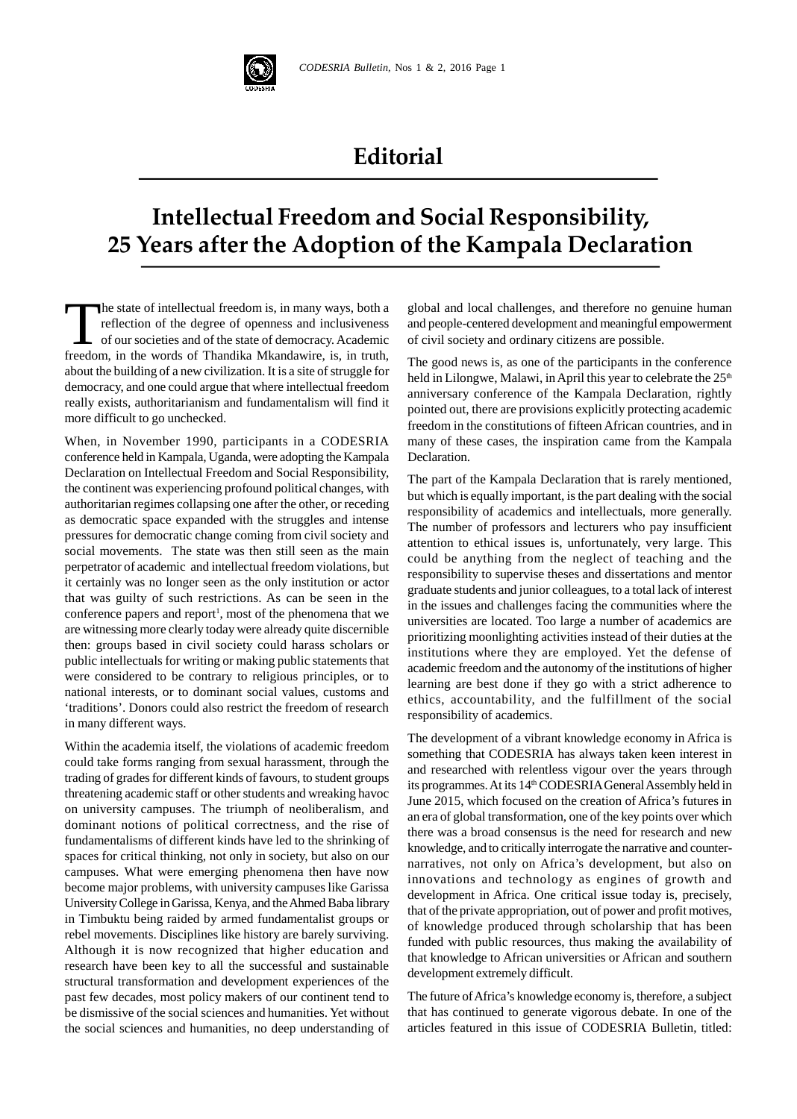

## **Editorial**

## **Intellectual Freedom and Social Responsibility, 25 Years after the Adoption of the Kampala Declaration**

The state of intellectual freedom is, in many ways, both<br>reflection of the degree of openness and inclusiven<br>of our societies and of the state of democracy. Acader<br>freedom in the words of Thandika Mkandawire, is, in tru he state of intellectual freedom is, in many ways, both a reflection of the degree of openness and inclusiveness of our societies and of the state of democracy. Academic freedom, in the words of Thandika Mkandawire, is, in truth, about the building of a new civilization. It is a site of struggle for democracy, and one could argue that where intellectual freedom really exists, authoritarianism and fundamentalism will find it more difficult to go unchecked.

When, in November 1990, participants in a CODESRIA conference held in Kampala, Uganda, were adopting the Kampala Declaration on Intellectual Freedom and Social Responsibility, the continent was experiencing profound political changes, with authoritarian regimes collapsing one after the other, or receding as democratic space expanded with the struggles and intense pressures for democratic change coming from civil society and social movements. The state was then still seen as the main perpetrator of academic and intellectual freedom violations, but it certainly was no longer seen as the only institution or actor that was guilty of such restrictions. As can be seen in the conference papers and report<sup>1</sup>, most of the phenomena that we  $\frac{m}{m}$ are witnessing more clearly today were already quite discernible then: groups based in civil society could harass scholars or public intellectuals for writing or making public statements that were considered to be contrary to religious principles, or to national interests, or to dominant social values, customs and 'traditions'. Donors could also restrict the freedom of research in many different ways.

Within the academia itself, the violations of academic freedom could take forms ranging from sexual harassment, through the trading of grades for different kinds of favours, to student groups threatening academic staff or other students and wreaking havoc on university campuses. The triumph of neoliberalism, and dominant notions of political correctness, and the rise of fundamentalisms of different kinds have led to the shrinking of spaces for critical thinking, not only in society, but also on our campuses. What were emerging phenomena then have now become major problems, with university campuses like Garissa University College in Garissa, Kenya, and the Ahmed Baba library in Timbuktu being raided by armed fundamentalist groups or rebel movements. Disciplines like history are barely surviving. Although it is now recognized that higher education and research have been key to all the successful and sustainable structural transformation and development experiences of the past few decades, most policy makers of our continent tend to be dismissive of the social sciences and humanities. Yet without the social sciences and humanities, no deep understanding of

global and local challenges, and therefore no genuine human and people-centered development and meaningful empowerment of civil society and ordinary citizens are possible.

The good news is, as one of the participants in the conference held in Lilongwe, Malawi, in April this year to celebrate the  $25<sup>th</sup>$ anniversary conference of the Kampala Declaration, rightly pointed out, there are provisions explicitly protecting academic freedom in the constitutions of fifteen African countries, and in many of these cases, the inspiration came from the Kampala Declaration.

The part of the Kampala Declaration that is rarely mentioned, but which is equally important, is the part dealing with the social responsibility of academics and intellectuals, more generally. The number of professors and lecturers who pay insufficient attention to ethical issues is, unfortunately, very large. This could be anything from the neglect of teaching and the responsibility to supervise theses and dissertations and mentor graduate students and junior colleagues, to a total lack of interest in the issues and challenges facing the communities where the universities are located. Too large a number of academics are prioritizing moonlighting activities instead of their duties at the institutions where they are employed. Yet the defense of academic freedom and the autonomy of the institutions of higher learning are best done if they go with a strict adherence to ethics, accountability, and the fulfillment of the social responsibility of academics.

The development of a vibrant knowledge economy in Africa is something that CODESRIA has always taken keen interest in and researched with relentless vigour over the years through its programmes. At its 14<sup>th</sup> CODESRIA General Assembly held in June 2015, which focused on the creation of Africa's futures in an era of global transformation, one of the key points over which there was a broad consensus is the need for research and new knowledge, and to critically interrogate the narrative and counternarratives, not only on Africa's development, but also on innovations and technology as engines of growth and development in Africa. One critical issue today is, precisely, that of the private appropriation, out of power and profit motives, of knowledge produced through scholarship that has been funded with public resources, thus making the availability of that knowledge to African universities or African and southern development extremely difficult.

The future of Africa's knowledge economy is, therefore, a subject that has continued to generate vigorous debate. In one of the articles featured in this issue of CODESRIA Bulletin, titled: